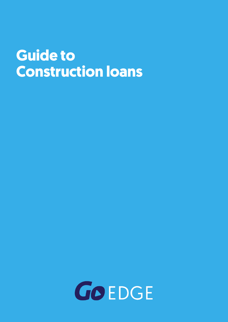# **Guide to Construction loans**

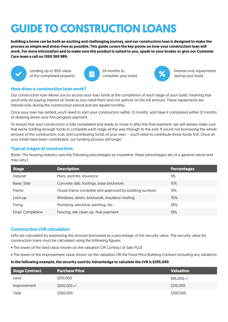## **GUIDE TO CONSTRUCTION LOANS**

**building a home can be both an exciting and challenging journey, and our construction loan is designed to make the process as simple and stress-free as possible. This guide covers the key points on how your construction loan will work. For more information and to make sure this product is suited to you, speak to your broker or give our Customer Care team a call on 1300 300 989.**



Lending up to 90% value of the completed property



24 months to complete your build



**%** Interest-only repayments during your build

## **How does a construction loan work?**

Our construction loan allows you to access your loan funds at the completion of each stage of your build, meaning that you'll only be paying interest on funds as you need them and not upfront on the full amount. These repayments are interest-only during the construction period and are repaid monthly.

Once your loan has settled, you'll need to start your construction within 12 months, and have it completed within 12 months of drawing down your first progress payment.

To ensure that your construction is fully completed and ready to move in after the final payment, we will always make sure that we're holding enough funds to complete each stage all the way through to the end. If you're not borrowing the whole amount of the construction cost, and contributing funds of your own – you'll need to contribute those funds first. Once all your funds have been contributed, our funding process will begin.

## **Typical stages of construction:**

(Note: The housing industry uses the following percentages as a baseline; these percentages are of a general nature and may vary.)

| <b>Stage</b>      | <b>Description</b>                                     | <b>Percentages</b> |
|-------------------|--------------------------------------------------------|--------------------|
| Deposit           | Plans, permits, insurance                              | 5%                 |
| Base/Slab         | Concrete slab, footings, base brickwork                | $10\%$             |
| Frame             | House frame complete and approved by building surveyor | 15%                |
| Lock-up           | Windows, doors, brickwork, insulation roofing          | 35%                |
| Fixing            | Plumbing, electrical, painting, etc.                   | 25%                |
| Final/ Completion | Fencing, site clean-up, final payment                  | $10\%$             |

## **Construction LVR calculation**

LVRs are calculated by expressing the amount borrowed as a percentage of the security value. The security value for construction loans must be calculated using the following figures:

- The lower of the land value shown on the valuation OR Contract of Sale PLUS
- The lower of the improvement value shown on the valuation OR the Fixed Price Building Contract including any variations

## **In the following example, the security used by Advantedge to calculate the LVR is \$295,000**

| Stage Contract | <b>Purchase Price</b>    | <b>Valuation</b>      |
|----------------|--------------------------|-----------------------|
| Land           | \$100,000                | $$95,000 \rightarrow$ |
| Improvement    | $$200,000 \, \checkmark$ | \$210,000             |
| Total          | \$300,000                | \$305,500             |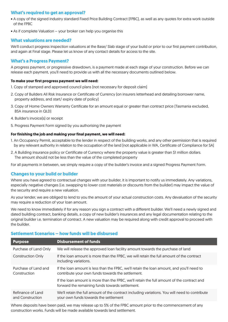## **What's required to get an approval?**

- A copy of the signed industry standard Fixed Price Building Contract (FPBC), as well as any quotes for extra work outside of the FPBC
- As if complete Valuation your broker can help you organise this

## **What valuations are needed?**

We'll conduct progress inspection valuations at the Base/ Slab stage of your build or prior to our first payment contribution, and again at Final stage. Please let us know of any contact details for access to the site.

## **What's a Progress Payment?**

A progress payment, or progressive drawdown, is a payment made at each stage of your construction. Before we can release each payment, you'll need to provide us with all the necessary documents outlined below.

## **To make your first progress payment we will need:**

- 1. Copy of stamped and approved council plans (not necessary for deposit claim)
- 2. Copy of Builders All Risk Insurance or Certificate of Currency (on insurers letterhead and detailing borrower name, property address, and start/ expiry date of policy)
- 3. Copy of Home Owners Warranty Certificate for an amount equal or greater than contract price (Tasmania excluded, BSA insurance in QLD)
- 4. Builder's invoice(s) or receipt
- 5. Progress Payment Form signed by you authorising the payment

## **For finishing the job and making your final payment, we will need:**

- 1. An Occupancy Permit, acceptable to the lender in respect of the building works, and any other permission that is required by any relevant authority in relation to the occupation of the land (not applicable in WA, Certificate of Compliance for SA)
- 2. A Building insurance policy or Certificate of Currency where the property value is greater than \$1 million dollars. The amount should not be less than the value of the completed property

For all payments in between, we simply require a copy of the builder's invoice and a signed Progress Payment Form.

## **Changes to your build or builder**

Where you have agreed to contractual changes with your builder, it is important to notify us immediately. Any variations, especially negative changes (i.e. swapping to lower cost materials or discounts from the builder) may impact the value of the security and require a new valuation.

As your lender, we are obliged to lend to you the amount of your actual construction costs. Any devaluation of the security may require a reduction of your loan amount.

We need to know immediately if for any reason you sign a contract with a different builder. We'll need a newly signed and dated building contract, banking details, a copy of new builder's insurances and any legal documentation relating to the original builder i.e. termination of contract. A new valuation may be required along with credit approval to proceed with the builder.

## **Settlement Scenarios – how funds will be disbursed**

| <b>Purpose</b>                        | <b>Disbursement of funds</b>                                                                                                                    |  |
|---------------------------------------|-------------------------------------------------------------------------------------------------------------------------------------------------|--|
| Purchase of Land Only                 | We will release the approved loan facility amount towards the purchase of land                                                                  |  |
| <b>Construction Only</b>              | If the loan amount is more than the FPBC, we will retain the full amount of the contract<br>including variations.                               |  |
| Purchase of Land and<br>Construction  | If the loan amount is less than the FPBC, we'll retain the loan amount, and you'll need to<br>contribute your own funds towards the settlement. |  |
|                                       | If the loan amount is more than the FPBC, we'll retain the full amount of the contract and<br>forward the remaining funds towards settlement.   |  |
| Refinance of Land<br>and Construction | We'll retain the full amount of the contract including variations. You will need to contribute<br>your own funds towards the settlement         |  |

Where deposits have been paid, we may release up to 5% of the FPBC amount prior to the commencement of any construction works. Funds will be made available towards land settlement.